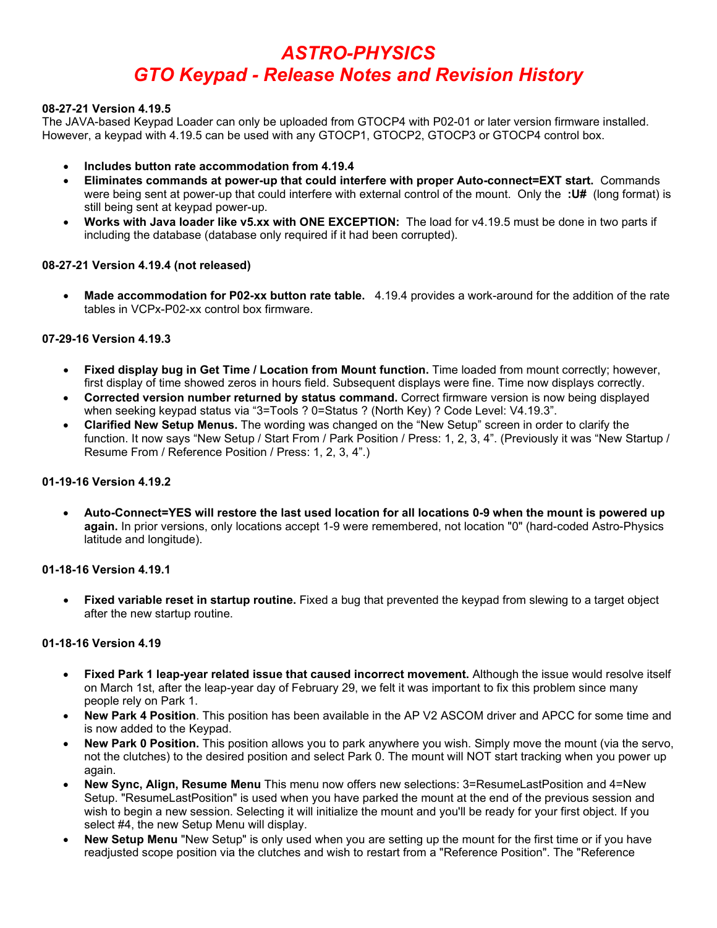# *ASTRO-PHYSICS GTO Keypad - Release Notes and Revision History*

#### **08-27-21 Version 4.19.5**

The JAVA-based Keypad Loader can only be uploaded from GTOCP4 with P02-01 or later version firmware installed. However, a keypad with 4.19.5 can be used with any GTOCP1, GTOCP2, GTOCP3 or GTOCP4 control box.

- **Includes button rate accommodation from 4.19.4**
- **Eliminates commands at power-up that could interfere with proper Auto-connect=EXT start.** Commands were being sent at power-up that could interfere with external control of the mount. Only the **:U#** (long format) is still being sent at keypad power-up.
- **Works with Java loader like v5.xx with ONE EXCEPTION:** The load for v4.19.5 must be done in two parts if including the database (database only required if it had been corrupted).

#### **08-27-21 Version 4.19.4 (not released)**

• **Made accommodation for P02-xx button rate table.** 4.19.4 provides a work-around for the addition of the rate tables in VCPx-P02-xx control box firmware.

#### **07-29-16 Version 4.19.3**

- **Fixed display bug in Get Time / Location from Mount function.** Time loaded from mount correctly; however, first display of time showed zeros in hours field. Subsequent displays were fine. Time now displays correctly.
- **Corrected version number returned by status command.** Correct firmware version is now being displayed when seeking keypad status via "3=Tools ? 0=Status ? (North Key) ? Code Level: V4.19.3".
- **Clarified New Setup Menus.** The wording was changed on the "New Setup" screen in order to clarify the function. It now says "New Setup / Start From / Park Position / Press: 1, 2, 3, 4". (Previously it was "New Startup / Resume From / Reference Position / Press: 1, 2, 3, 4".)

#### **01-19-16 Version 4.19.2**

• **Auto-Connect=YES will restore the last used location for all locations 0-9 when the mount is powered up again.** In prior versions, only locations accept 1-9 were remembered, not location "0" (hard-coded Astro-Physics latitude and longitude).

#### **01-18-16 Version 4.19.1**

• **Fixed variable reset in startup routine.** Fixed a bug that prevented the keypad from slewing to a target object after the new startup routine.

#### **01-18-16 Version 4.19**

- **Fixed Park 1 leap-year related issue that caused incorrect movement.** Although the issue would resolve itself on March 1st, after the leap-year day of February 29, we felt it was important to fix this problem since many people rely on Park 1.
- **New Park 4 Position**. This position has been available in the AP V2 ASCOM driver and APCC for some time and is now added to the Keypad.
- **New Park 0 Position.** This position allows you to park anywhere you wish. Simply move the mount (via the servo, not the clutches) to the desired position and select Park 0. The mount will NOT start tracking when you power up again.
- **New Sync, Align, Resume Menu** This menu now offers new selections: 3=ResumeLastPosition and 4=New Setup. "ResumeLastPosition" is used when you have parked the mount at the end of the previous session and wish to begin a new session. Selecting it will initialize the mount and you'll be ready for your first object. If you select #4, the new Setup Menu will display.
- **New Setup Menu** "New Setup" is only used when you are setting up the mount for the first time or if you have readjusted scope position via the clutches and wish to restart from a "Reference Position". The "Reference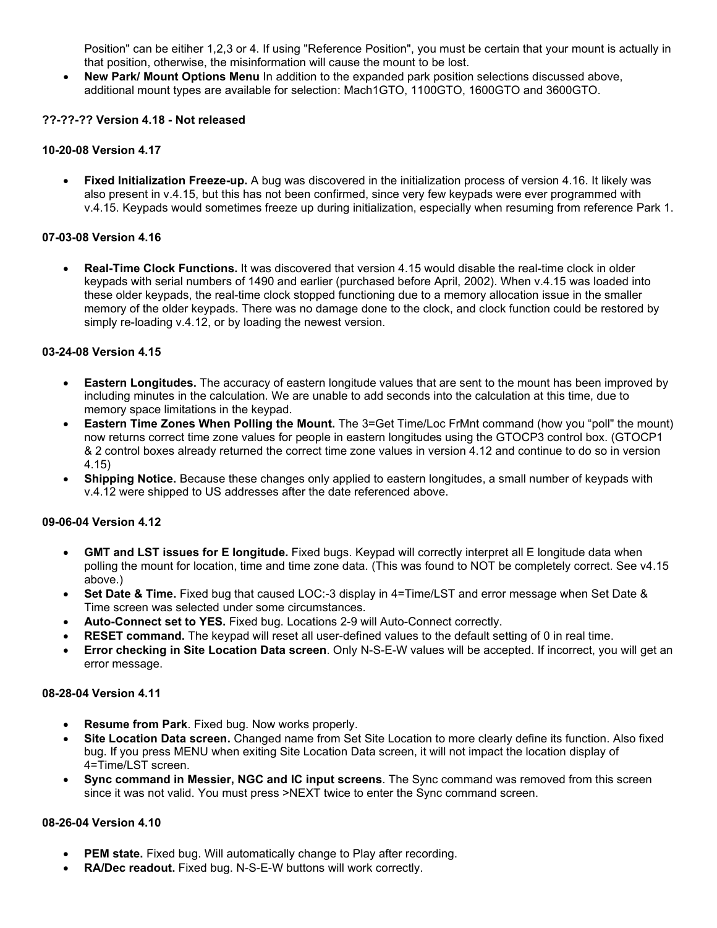Position" can be eitiher 1,2,3 or 4. If using "Reference Position", you must be certain that your mount is actually in that position, otherwise, the misinformation will cause the mount to be lost.

• **New Park/ Mount Options Menu** In addition to the expanded park position selections discussed above, additional mount types are available for selection: Mach1GTO, 1100GTO, 1600GTO and 3600GTO.

#### **??-??-?? Version 4.18 - Not released**

#### **10-20-08 Version 4.17**

• **Fixed Initialization Freeze-up.** A bug was discovered in the initialization process of version 4.16. It likely was also present in v.4.15, but this has not been confirmed, since very few keypads were ever programmed with v.4.15. Keypads would sometimes freeze up during initialization, especially when resuming from reference Park 1.

#### **07-03-08 Version 4.16**

• **Real-Time Clock Functions.** It was discovered that version 4.15 would disable the real-time clock in older keypads with serial numbers of 1490 and earlier (purchased before April, 2002). When v.4.15 was loaded into these older keypads, the real-time clock stopped functioning due to a memory allocation issue in the smaller memory of the older keypads. There was no damage done to the clock, and clock function could be restored by simply re-loading v.4.12, or by loading the newest version.

#### **03-24-08 Version 4.15**

- **Eastern Longitudes.** The accuracy of eastern longitude values that are sent to the mount has been improved by including minutes in the calculation. We are unable to add seconds into the calculation at this time, due to memory space limitations in the keypad.
- **Eastern Time Zones When Polling the Mount.** The 3=Get Time/Loc FrMnt command (how you "poll" the mount) now returns correct time zone values for people in eastern longitudes using the GTOCP3 control box. (GTOCP1 & 2 control boxes already returned the correct time zone values in version 4.12 and continue to do so in version 4.15)
- **Shipping Notice.** Because these changes only applied to eastern longitudes, a small number of keypads with v.4.12 were shipped to US addresses after the date referenced above.

#### **09-06-04 Version 4.12**

- **GMT and LST issues for E longitude.** Fixed bugs. Keypad will correctly interpret all E longitude data when polling the mount for location, time and time zone data. (This was found to NOT be completely correct. See v4.15 above.)
- **Set Date & Time.** Fixed bug that caused LOC:-3 display in 4=Time/LST and error message when Set Date & Time screen was selected under some circumstances.
- **Auto-Connect set to YES.** Fixed bug. Locations 2-9 will Auto-Connect correctly.
- **RESET command.** The keypad will reset all user-defined values to the default setting of 0 in real time.
- **Error checking in Site Location Data screen**. Only N-S-E-W values will be accepted. If incorrect, you will get an error message.

#### **08-28-04 Version 4.11**

- **Resume from Park**. Fixed bug. Now works properly.
- **Site Location Data screen.** Changed name from Set Site Location to more clearly define its function. Also fixed bug. If you press MENU when exiting Site Location Data screen, it will not impact the location display of 4=Time/LST screen.
- **Sync command in Messier, NGC and IC input screens**. The Sync command was removed from this screen since it was not valid. You must press >NEXT twice to enter the Sync command screen.

#### **08-26-04 Version 4.10**

- **PEM state.** Fixed bug. Will automatically change to Play after recording.
- **RA/Dec readout.** Fixed bug. N-S-E-W buttons will work correctly.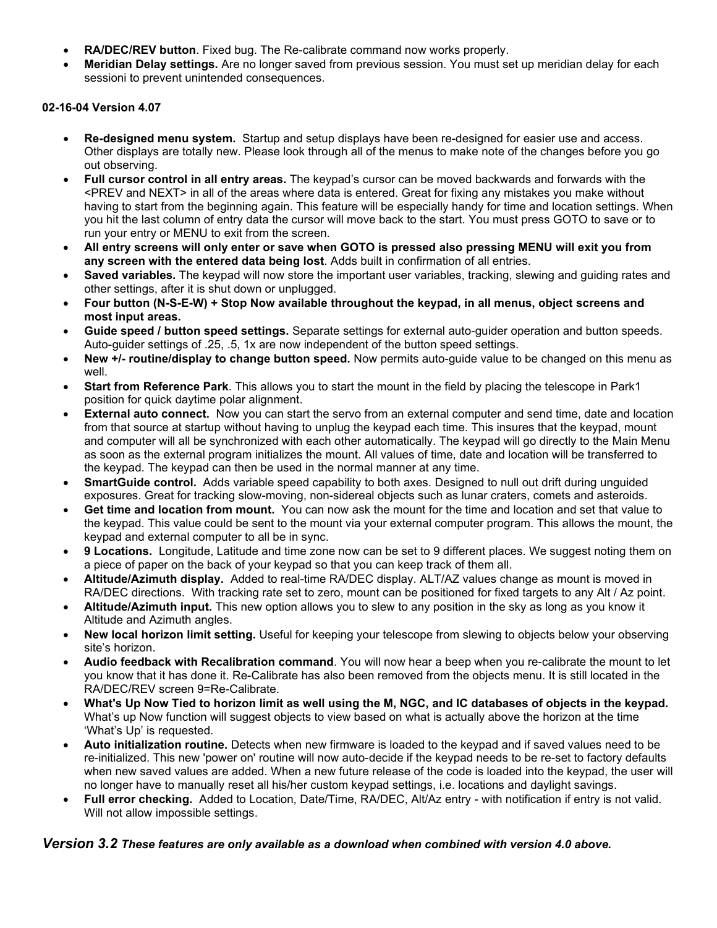- **RA/DEC/REV button**. Fixed bug. The Re-calibrate command now works properly.
- **Meridian Delay settings.** Are no longer saved from previous session. You must set up meridian delay for each sessioni to prevent unintended consequences.

#### **02-16-04 Version 4.07**

- **Re-designed menu system.** Startup and setup displays have been re-designed for easier use and access. Other displays are totally new. Please look through all of the menus to make note of the changes before you go out observing.
- **Full cursor control in all entry areas.** The keypad's cursor can be moved backwards and forwards with the <PREV and NEXT> in all of the areas where data is entered. Great for fixing any mistakes you make without having to start from the beginning again. This feature will be especially handy for time and location settings. When you hit the last column of entry data the cursor will move back to the start. You must press GOTO to save or to run your entry or MENU to exit from the screen.
- **All entry screens will only enter or save when GOTO is pressed also pressing MENU will exit you from any screen with the entered data being lost**. Adds built in confirmation of all entries.
- **Saved variables.** The keypad will now store the important user variables, tracking, slewing and guiding rates and other settings, after it is shut down or unplugged.
- **Four button (N-S-E-W) + Stop Now available throughout the keypad, in all menus, object screens and most input areas.**
- **Guide speed / button speed settings.** Separate settings for external auto-guider operation and button speeds. Auto-guider settings of .25, .5, 1x are now independent of the button speed settings.
- **New +/- routine/display to change button speed.** Now permits auto-guide value to be changed on this menu as well.
- **Start from Reference Park**. This allows you to start the mount in the field by placing the telescope in Park1 position for quick daytime polar alignment.
- **External auto connect.** Now you can start the servo from an external computer and send time, date and location from that source at startup without having to unplug the keypad each time. This insures that the keypad, mount and computer will all be synchronized with each other automatically. The keypad will go directly to the Main Menu as soon as the external program initializes the mount. All values of time, date and location will be transferred to the keypad. The keypad can then be used in the normal manner at any time.
- **SmartGuide control.** Adds variable speed capability to both axes. Designed to null out drift during unguided exposures. Great for tracking slow-moving, non-sidereal objects such as lunar craters, comets and asteroids.
- **Get time and location from mount.** You can now ask the mount for the time and location and set that value to the keypad. This value could be sent to the mount via your external computer program. This allows the mount, the keypad and external computer to all be in sync.
- **9 Locations.** Longitude, Latitude and time zone now can be set to 9 different places. We suggest noting them on a piece of paper on the back of your keypad so that you can keep track of them all.
- **Altitude/Azimuth display.** Added to real-time RA/DEC display. ALT/AZ values change as mount is moved in RA/DEC directions. With tracking rate set to zero, mount can be positioned for fixed targets to any Alt / Az point.
- **Altitude/Azimuth input.** This new option allows you to slew to any position in the sky as long as you know it Altitude and Azimuth angles.
- **New local horizon limit setting.** Useful for keeping your telescope from slewing to objects below your observing site's horizon.
- **Audio feedback with Recalibration command**. You will now hear a beep when you re-calibrate the mount to let you know that it has done it. Re-Calibrate has also been removed from the objects menu. It is still located in the RA/DEC/REV screen 9=Re-Calibrate.
- **What's Up Now Tied to horizon limit as well using the M, NGC, and IC databases of objects in the keypad.** What's up Now function will suggest objects to view based on what is actually above the horizon at the time 'What's Up' is requested.
- **Auto initialization routine.** Detects when new firmware is loaded to the keypad and if saved values need to be re-initialized. This new 'power on' routine will now auto-decide if the keypad needs to be re-set to factory defaults when new saved values are added. When a new future release of the code is loaded into the keypad, the user will no longer have to manually reset all his/her custom keypad settings, i.e. locations and daylight savings.
- **Full error checking.** Added to Location, Date/Time, RA/DEC, Alt/Az entry with notification if entry is not valid. Will not allow impossible settings.

#### *Version 3.2 These features are only available as a download when combined with version 4.0 above.*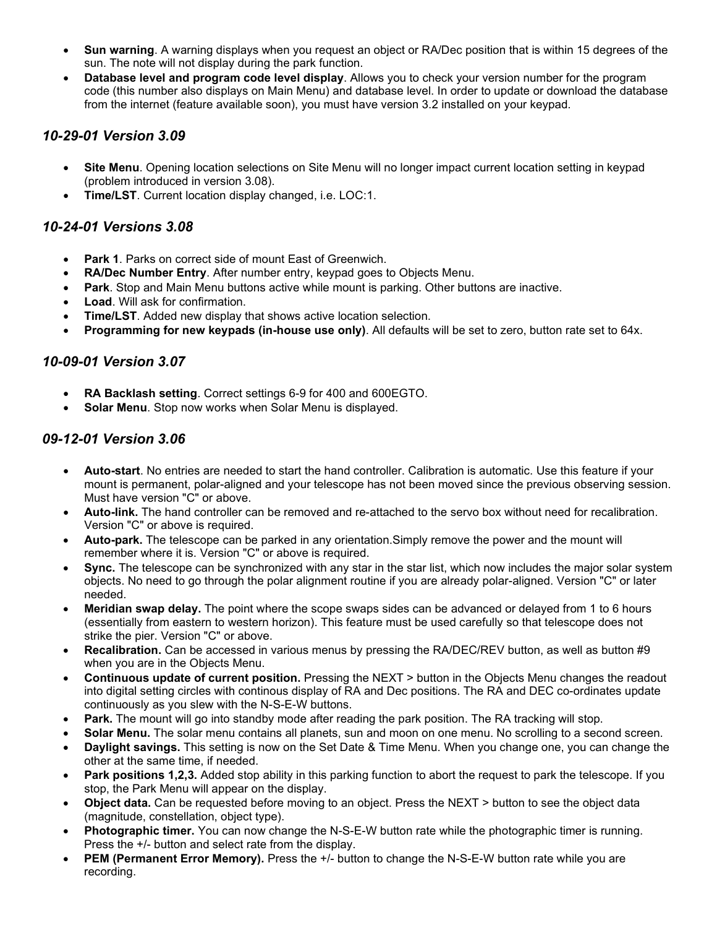- **Sun warning**. A warning displays when you request an object or RA/Dec position that is within 15 degrees of the sun. The note will not display during the park function.
- **Database level and program code level display**. Allows you to check your version number for the program code (this number also displays on Main Menu) and database level. In order to update or download the database from the internet (feature available soon), you must have version 3.2 installed on your keypad.

### *10-29-01 Version 3.09*

- **Site Menu**. Opening location selections on Site Menu will no longer impact current location setting in keypad (problem introduced in version 3.08).
- **Time/LST**. Current location display changed, i.e. LOC:1.

## *10-24-01 Versions 3.08*

- **Park 1**. Parks on correct side of mount East of Greenwich.
- **RA/Dec Number Entry**. After number entry, keypad goes to Objects Menu.
- **Park**. Stop and Main Menu buttons active while mount is parking. Other buttons are inactive.
- **Load**. Will ask for confirmation.
- **Time/LST**. Added new display that shows active location selection.
- **Programming for new keypads (in-house use only)**. All defaults will be set to zero, button rate set to 64x.

### *10-09-01 Version 3.07*

- **RA Backlash setting**. Correct settings 6-9 for 400 and 600EGTO.
- **Solar Menu**. Stop now works when Solar Menu is displayed.

### *09-12-01 Version 3.06*

- **Auto-start**. No entries are needed to start the hand controller. Calibration is automatic. Use this feature if your mount is permanent, polar-aligned and your telescope has not been moved since the previous observing session. Must have version "C" or above.
- **Auto-link.** The hand controller can be removed and re-attached to the servo box without need for recalibration. Version "C" or above is required.
- **Auto-park.** The telescope can be parked in any orientation.Simply remove the power and the mount will remember where it is. Version "C" or above is required.
- **Sync.** The telescope can be synchronized with any star in the star list, which now includes the major solar system objects. No need to go through the polar alignment routine if you are already polar-aligned. Version "C" or later needed.
- **Meridian swap delay.** The point where the scope swaps sides can be advanced or delayed from 1 to 6 hours (essentially from eastern to western horizon). This feature must be used carefully so that telescope does not strike the pier. Version "C" or above.
- **Recalibration.** Can be accessed in various menus by pressing the RA/DEC/REV button, as well as button #9 when you are in the Objects Menu.
- **Continuous update of current position.** Pressing the NEXT > button in the Objects Menu changes the readout into digital setting circles with continous display of RA and Dec positions. The RA and DEC co-ordinates update continuously as you slew with the N-S-E-W buttons.
- **Park.** The mount will go into standby mode after reading the park position. The RA tracking will stop.
- **Solar Menu.** The solar menu contains all planets, sun and moon on one menu. No scrolling to a second screen.
- **Daylight savings.** This setting is now on the Set Date & Time Menu. When you change one, you can change the other at the same time, if needed.
- **Park positions 1,2,3.** Added stop ability in this parking function to abort the request to park the telescope. If you stop, the Park Menu will appear on the display.
- **Object data.** Can be requested before moving to an object. Press the NEXT > button to see the object data (magnitude, constellation, object type).
- **Photographic timer.** You can now change the N-S-E-W button rate while the photographic timer is running. Press the +/- button and select rate from the display.
- **PEM (Permanent Error Memory).** Press the +/- button to change the N-S-E-W button rate while you are recording.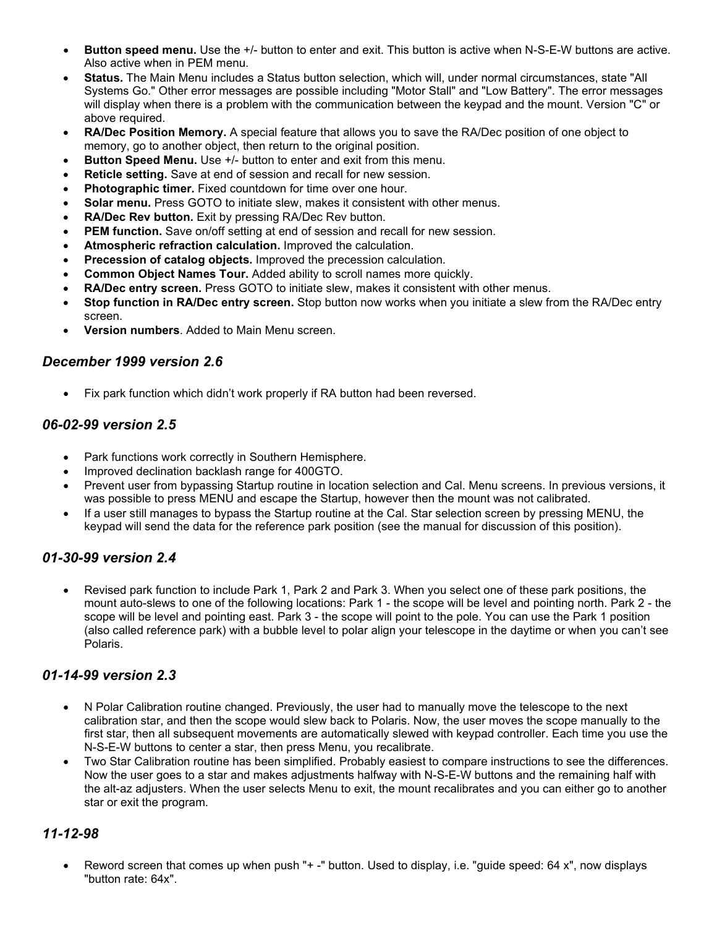- **Button speed menu.** Use the  $+/-$  button to enter and exit. This button is active when N-S-E-W buttons are active. Also active when in PEM menu.
- **Status.** The Main Menu includes a Status button selection, which will, under normal circumstances, state "All Systems Go." Other error messages are possible including "Motor Stall" and "Low Battery". The error messages will display when there is a problem with the communication between the keypad and the mount. Version "C" or above required.
- **RA/Dec Position Memory.** A special feature that allows you to save the RA/Dec position of one object to memory, go to another object, then return to the original position.
- **Button Speed Menu.** Use  $+/-$  button to enter and exit from this menu.
- **Reticle setting.** Save at end of session and recall for new session.
- **Photographic timer.** Fixed countdown for time over one hour.
- **Solar menu.** Press GOTO to initiate slew, makes it consistent with other menus.
- **RA/Dec Rev button.** Exit by pressing RA/Dec Rev button.
- **PEM function.** Save on/off setting at end of session and recall for new session.
- **Atmospheric refraction calculation.** Improved the calculation.
- **Precession of catalog objects.** Improved the precession calculation.
- **Common Object Names Tour.** Added ability to scroll names more quickly.
- **RA/Dec entry screen.** Press GOTO to initiate slew, makes it consistent with other menus.
- **Stop function in RA/Dec entry screen.** Stop button now works when you initiate a slew from the RA/Dec entry screen.
- **Version numbers**. Added to Main Menu screen.

### *December 1999 version 2.6*

Fix park function which didn't work properly if RA button had been reversed.

### *06-02-99 version 2.5*

- Park functions work correctly in Southern Hemisphere.
- Improved declination backlash range for 400GTO.
- Prevent user from bypassing Startup routine in location selection and Cal. Menu screens. In previous versions, it was possible to press MENU and escape the Startup, however then the mount was not calibrated.
- If a user still manages to bypass the Startup routine at the Cal. Star selection screen by pressing MENU, the keypad will send the data for the reference park position (see the manual for discussion of this position).

# *01-30-99 version 2.4*

• Revised park function to include Park 1, Park 2 and Park 3. When you select one of these park positions, the mount auto-slews to one of the following locations: Park 1 - the scope will be level and pointing north. Park 2 - the scope will be level and pointing east. Park 3 - the scope will point to the pole. You can use the Park 1 position (also called reference park) with a bubble level to polar align your telescope in the daytime or when you can't see Polaris.

### *01-14-99 version 2.3*

- N Polar Calibration routine changed. Previously, the user had to manually move the telescope to the next calibration star, and then the scope would slew back to Polaris. Now, the user moves the scope manually to the first star, then all subsequent movements are automatically slewed with keypad controller. Each time you use the N-S-E-W buttons to center a star, then press Menu, you recalibrate.
- Two Star Calibration routine has been simplified. Probably easiest to compare instructions to see the differences. Now the user goes to a star and makes adjustments halfway with N-S-E-W buttons and the remaining half with the alt-az adjusters. When the user selects Menu to exit, the mount recalibrates and you can either go to another star or exit the program.

### *11-12-98*

• Reword screen that comes up when push "+ -" button. Used to display, i.e. "guide speed: 64 x", now displays "button rate: 64x".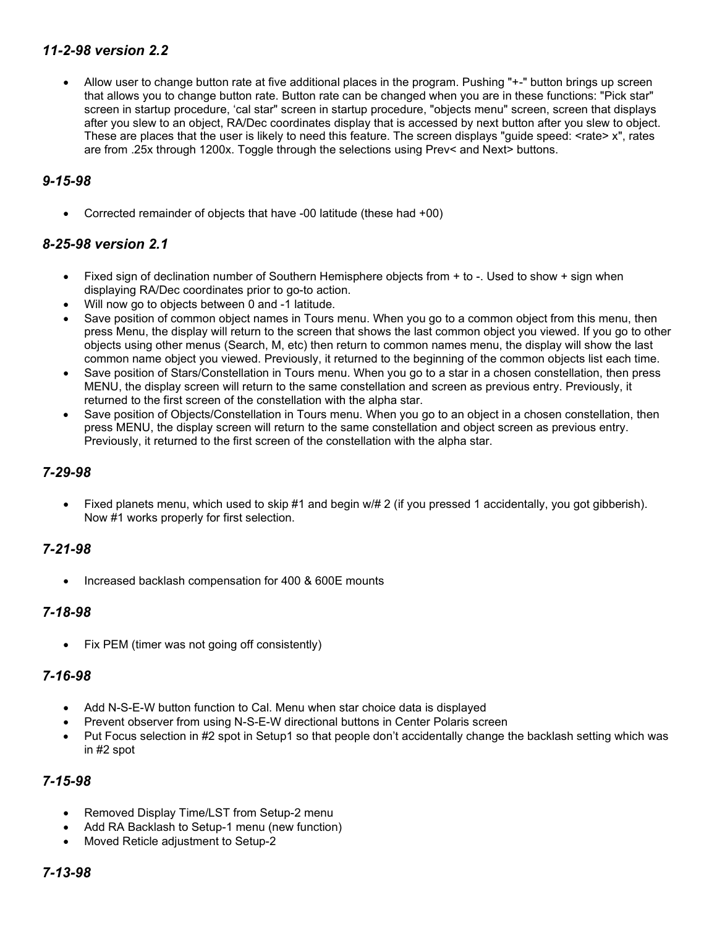### *11-2-98 version 2.2*

• Allow user to change button rate at five additional places in the program. Pushing "+-" button brings up screen that allows you to change button rate. Button rate can be changed when you are in these functions: "Pick star" screen in startup procedure, 'cal star" screen in startup procedure, "objects menu" screen, screen that displays after you slew to an object, RA/Dec coordinates display that is accessed by next button after you slew to object. These are places that the user is likely to need this feature. The screen displays "guide speed: <rate> x", rates are from .25x through 1200x. Toggle through the selections using Prev< and Next> buttons.

### *9-15-98*

• Corrected remainder of objects that have -00 latitude (these had +00)

## *8-25-98 version 2.1*

- Fixed sign of declination number of Southern Hemisphere objects from + to -. Used to show + sign when displaying RA/Dec coordinates prior to go-to action.
- Will now go to objects between 0 and -1 latitude.
- Save position of common object names in Tours menu. When you go to a common object from this menu, then press Menu, the display will return to the screen that shows the last common object you viewed. If you go to other objects using other menus (Search, M, etc) then return to common names menu, the display will show the last common name object you viewed. Previously, it returned to the beginning of the common objects list each time.
- Save position of Stars/Constellation in Tours menu. When you go to a star in a chosen constellation, then press MENU, the display screen will return to the same constellation and screen as previous entry. Previously, it returned to the first screen of the constellation with the alpha star.
- Save position of Objects/Constellation in Tours menu. When you go to an object in a chosen constellation, then press MENU, the display screen will return to the same constellation and object screen as previous entry. Previously, it returned to the first screen of the constellation with the alpha star.

### *7-29-98*

• Fixed planets menu, which used to skip #1 and begin w/# 2 (if you pressed 1 accidentally, you got gibberish). Now #1 works properly for first selection.

### *7-21-98*

• Increased backlash compensation for 400 & 600E mounts

#### *7-18-98*

• Fix PEM (timer was not going off consistently)

### *7-16-98*

- Add N-S-E-W button function to Cal. Menu when star choice data is displayed
- Prevent observer from using N-S-E-W directional buttons in Center Polaris screen
- Put Focus selection in #2 spot in Setup1 so that people don't accidentally change the backlash setting which was in #2 spot

### *7-15-98*

- Removed Display Time/LST from Setup-2 menu
- Add RA Backlash to Setup-1 menu (new function)
- Moved Reticle adjustment to Setup-2